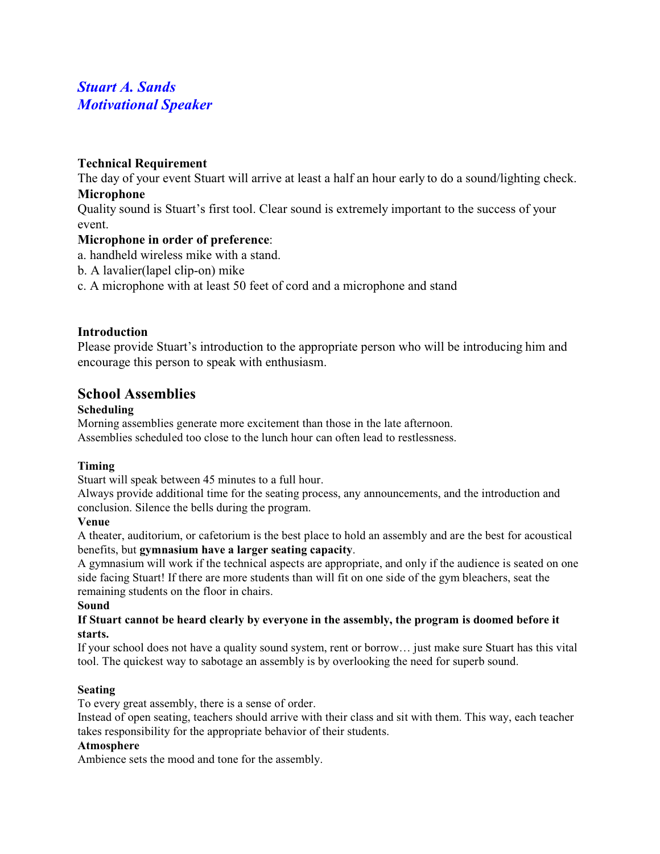# *Stuart A. Sands Motivational Speaker*

## **Technical Requirement**

The day of your event Stuart will arrive at least a half an hour early to do a sound/lighting check. **Microphone** 

Quality sound is Stuart's first tool. Clear sound is extremely important to the success of your event.

## **Microphone in order of preference**:

- a. handheld wireless mike with a stand.
- b. A lavalier(lapel clip-on) mike
- c. A microphone with at least 50 feet of cord and a microphone and stand

## **Introduction**

Please provide Stuart's introduction to the appropriate person who will be introducing him and encourage this person to speak with enthusiasm.

## **School Assemblies**

## **Scheduling**

Morning assemblies generate more excitement than those in the late afternoon. Assemblies scheduled too close to the lunch hour can often lead to restlessness.

## **Timing**

Stuart will speak between 45 minutes to a full hour.

Always provide additional time for the seating process, any announcements, and the introduction and conclusion. Silence the bells during the program.

## **Venue**

A theater, auditorium, or cafetorium is the best place to hold an assembly and are the best for acoustical benefits, but **gymnasium have a larger seating capacity**.

A gymnasium will work if the technical aspects are appropriate, and only if the audience is seated on one side facing Stuart! If there are more students than will fit on one side of the gym bleachers, seat the remaining students on the floor in chairs.

## **Sound**

## **If Stuart cannot be heard clearly by everyone in the assembly, the program is doomed before it starts.**

If your school does not have a quality sound system, rent or borrow… just make sure Stuart has this vital tool. The quickest way to sabotage an assembly is by overlooking the need for superb sound.

## **Seating**

To every great assembly, there is a sense of order.

Instead of open seating, teachers should arrive with their class and sit with them. This way, each teacher takes responsibility for the appropriate behavior of their students.

## **Atmosphere**

Ambience sets the mood and tone for the assembly.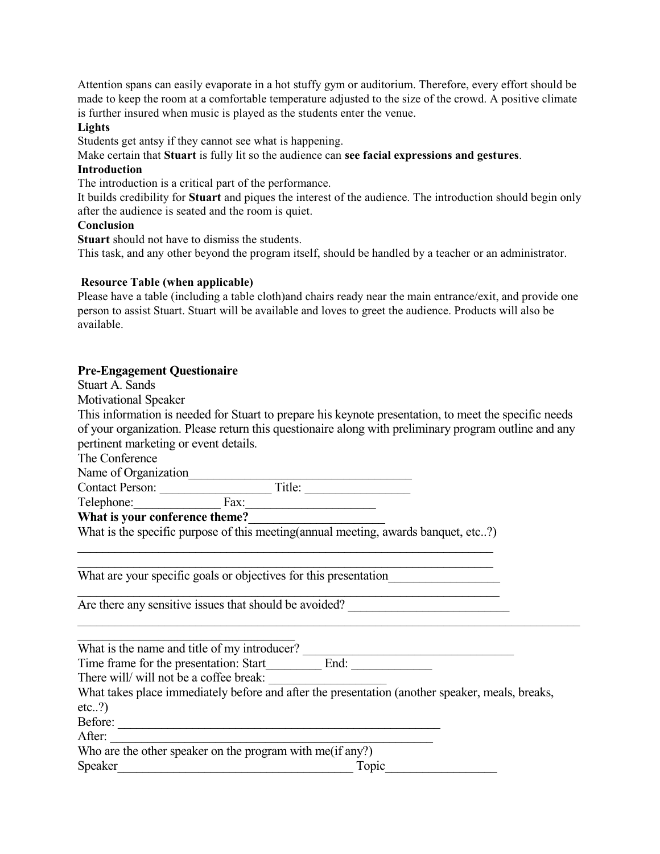Attention spans can easily evaporate in a hot stuffy gym or auditorium. Therefore, every effort should be made to keep the room at a comfortable temperature adjusted to the size of the crowd. A positive climate is further insured when music is played as the students enter the venue.

## **Lights**

Students get antsy if they cannot see what is happening.

Make certain that **Stuart** is fully lit so the audience can **see facial expressions and gestures**.

#### **Introduction**

The introduction is a critical part of the performance.

It builds credibility for **Stuart** and piques the interest of the audience. The introduction should begin only after the audience is seated and the room is quiet.

## **Conclusion**

**Stuart** should not have to dismiss the students.

This task, and any other beyond the program itself, should be handled by a teacher or an administrator.

#### **Resource Table (when applicable)**

Please have a table (including a table cloth)and chairs ready near the main entrance/exit, and provide one person to assist Stuart. Stuart will be available and loves to greet the audience. Products will also be available.

## **Pre-Engagement Questionaire**

Stuart A. Sands

Motivational Speaker

This information is needed for Stuart to prepare his keynote presentation, to meet the specific needs of your organization. Please return this questionaire along with preliminary program outline and any pertinent marketing or event details.

The Conference

Name of Organization

Contact Person: \_\_\_\_\_\_\_\_\_\_\_\_\_\_\_\_\_\_ Title: \_\_\_\_\_\_\_\_\_\_\_\_\_\_\_\_\_  $\text{Telephone:}\qquad \qquad \qquad \text{Fax:}\qquad \qquad \qquad \text{Fax:}\qquad \qquad \qquad \text{Fax:}\qquad \qquad \qquad \text{Fax:}\qquad \qquad \qquad \text{Fax:}\qquad \qquad \text{Fax:}\qquad \qquad \text{Fax:}\qquad \qquad \text{Fax:}\qquad \qquad \text{Fax:}\qquad \qquad \text{Fax:}\qquad \qquad \text{Fax:}\qquad \qquad \text{Fax:}\qquad \qquad \text{Fax:}\qquad \qquad \text{Fax:}\qquad \qquad \text{Fax:}\qquad \qquad \text{Fax:}\qquad \qquad$ 

**What is your conference theme?**\_\_\_\_\_\_\_\_\_\_\_\_\_\_\_\_\_\_\_\_\_\_

What is the specific purpose of this meeting(annual meeting, awards banquet, etc..?) \_\_\_\_\_\_\_\_\_\_\_\_\_\_\_\_\_\_\_\_\_\_\_\_\_\_\_\_\_\_\_\_\_\_\_\_\_\_\_\_\_\_\_\_\_\_\_\_\_\_\_\_\_\_\_\_\_\_\_\_\_\_\_\_\_\_\_

\_\_\_\_\_\_\_\_\_\_\_\_\_\_\_\_\_\_\_\_\_\_\_\_\_\_\_\_\_\_\_\_\_\_\_\_\_\_\_\_\_\_\_\_\_\_\_\_\_\_\_\_\_\_\_\_\_\_\_\_\_\_\_\_\_\_\_ What are your specific goals or objectives for this presentation

Are there any sensitive issues that should be avoided?

\_\_\_\_\_\_\_\_\_\_\_\_\_\_\_\_\_\_\_\_\_\_\_\_\_\_\_\_\_\_\_\_\_\_\_ What is the name and title of my introducer? \_\_\_\_\_\_\_\_\_\_\_\_\_\_\_\_\_\_\_\_\_\_\_\_\_\_\_\_\_\_\_\_\_\_

Time frame for the presentation: Start\_\_\_\_\_\_\_\_\_ End:

There will/ will not be a coffee break:

What takes place immediately before and after the presentation (another speaker, meals, breaks,  $etc..?)$ 

\_\_\_\_\_\_\_\_\_\_\_\_\_\_\_\_\_\_\_\_\_\_\_\_\_\_\_\_\_\_\_\_\_\_\_\_\_\_\_\_\_\_\_\_\_\_\_\_\_\_\_\_\_\_\_\_\_\_\_\_\_\_\_\_\_\_\_\_\_\_\_\_\_\_\_\_\_\_\_\_\_

\_\_\_\_\_\_\_\_\_\_\_\_\_\_\_\_\_\_\_\_\_\_\_\_\_\_\_\_\_\_\_\_\_\_\_\_\_\_\_\_\_\_\_\_\_\_\_\_\_\_\_\_\_\_\_\_\_\_\_\_\_\_\_\_\_\_\_\_

Before: \_\_\_\_\_\_\_\_\_\_\_\_\_\_\_\_\_\_\_\_\_\_\_\_\_\_\_\_\_\_\_\_\_\_\_\_\_\_\_\_\_\_\_\_\_\_\_\_\_\_\_\_

After:

Who are the other speaker on the program with me(if any?) Speaker\_\_\_\_\_\_\_\_\_\_\_\_\_\_\_\_\_\_\_\_\_\_\_\_\_\_\_\_\_\_\_\_\_\_\_\_\_\_ Topic\_\_\_\_\_\_\_\_\_\_\_\_\_\_\_\_\_\_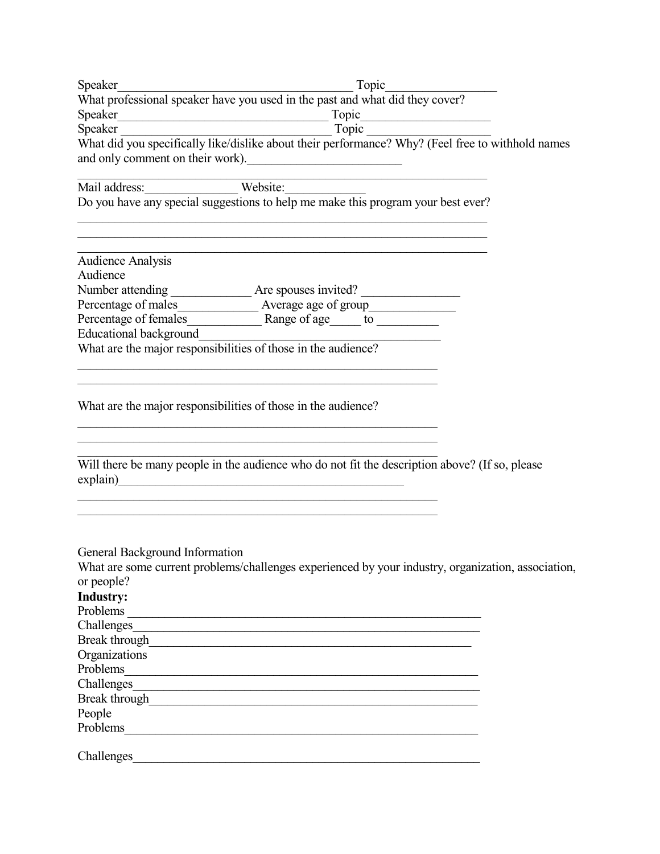|                                                                                                                                                                                                                                      | Topic                                                                                                                     |  |
|--------------------------------------------------------------------------------------------------------------------------------------------------------------------------------------------------------------------------------------|---------------------------------------------------------------------------------------------------------------------------|--|
|                                                                                                                                                                                                                                      | Speaker<br>What professional speaker have you used in the past and what did they cover?                                   |  |
|                                                                                                                                                                                                                                      |                                                                                                                           |  |
|                                                                                                                                                                                                                                      | Speaker<br>Topic                                                                                                          |  |
|                                                                                                                                                                                                                                      | What did you specifically like/dislike about their performance? Why? (Feel free to withhold names                         |  |
| and only comment on their work).                                                                                                                                                                                                     |                                                                                                                           |  |
|                                                                                                                                                                                                                                      |                                                                                                                           |  |
|                                                                                                                                                                                                                                      | Mail address: Website: Website: Website: Do you have any special suggestions to help me make this program your best ever? |  |
|                                                                                                                                                                                                                                      |                                                                                                                           |  |
|                                                                                                                                                                                                                                      |                                                                                                                           |  |
|                                                                                                                                                                                                                                      |                                                                                                                           |  |
| <b>Audience Analysis</b><br>Audience                                                                                                                                                                                                 |                                                                                                                           |  |
|                                                                                                                                                                                                                                      | Number attending ________________________ Are spouses invited? __________________                                         |  |
|                                                                                                                                                                                                                                      | Percentage of males______________________ Average age of group__________________                                          |  |
|                                                                                                                                                                                                                                      |                                                                                                                           |  |
| Educational background                                                                                                                                                                                                               |                                                                                                                           |  |
| What are the major responsibilities of those in the audience?                                                                                                                                                                        |                                                                                                                           |  |
|                                                                                                                                                                                                                                      |                                                                                                                           |  |
|                                                                                                                                                                                                                                      |                                                                                                                           |  |
| What are the major responsibilities of those in the audience?                                                                                                                                                                        |                                                                                                                           |  |
| explain)                                                                                                                                                                                                                             | Will there be many people in the audience who do not fit the description above? (If so, please                            |  |
|                                                                                                                                                                                                                                      |                                                                                                                           |  |
|                                                                                                                                                                                                                                      |                                                                                                                           |  |
|                                                                                                                                                                                                                                      |                                                                                                                           |  |
| General Background Information                                                                                                                                                                                                       |                                                                                                                           |  |
|                                                                                                                                                                                                                                      | What are some current problems/challenges experienced by your industry, organization, association,                        |  |
| or people?                                                                                                                                                                                                                           |                                                                                                                           |  |
| <b>Industry:</b>                                                                                                                                                                                                                     |                                                                                                                           |  |
|                                                                                                                                                                                                                                      |                                                                                                                           |  |
|                                                                                                                                                                                                                                      | Challenges                                                                                                                |  |
| Break through https://www.archive.com/contract/                                                                                                                                                                                      |                                                                                                                           |  |
| Organizations                                                                                                                                                                                                                        |                                                                                                                           |  |
| Problems                                                                                                                                                                                                                             |                                                                                                                           |  |
|                                                                                                                                                                                                                                      |                                                                                                                           |  |
| Break through <u>the contract of the contract of the contract of the contract of the contract of the contract of the contract of the contract of the contract of the contract of the contract of the contract of the contract of</u> |                                                                                                                           |  |
| People                                                                                                                                                                                                                               |                                                                                                                           |  |
| Problems                                                                                                                                                                                                                             |                                                                                                                           |  |
| Challenges                                                                                                                                                                                                                           |                                                                                                                           |  |